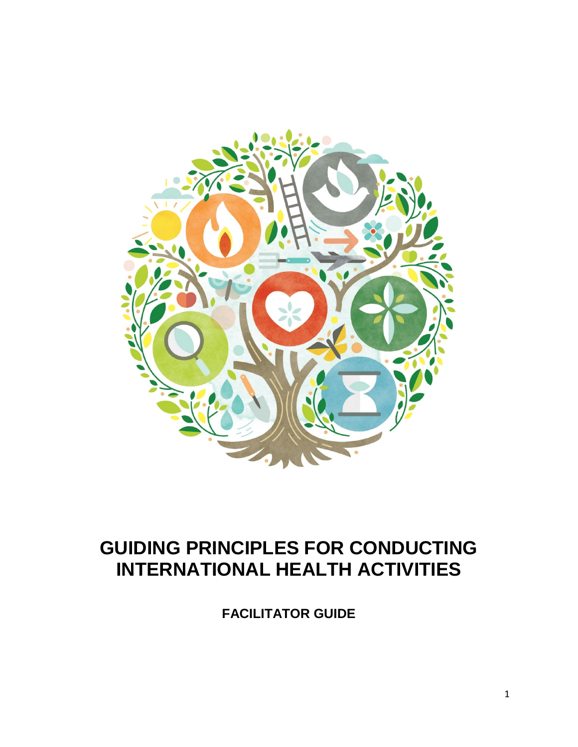

## **GUIDING PRINCIPLES FOR CONDUCTING INTERNATIONAL HEALTH ACTIVITIES**

**FACILITATOR GUIDE**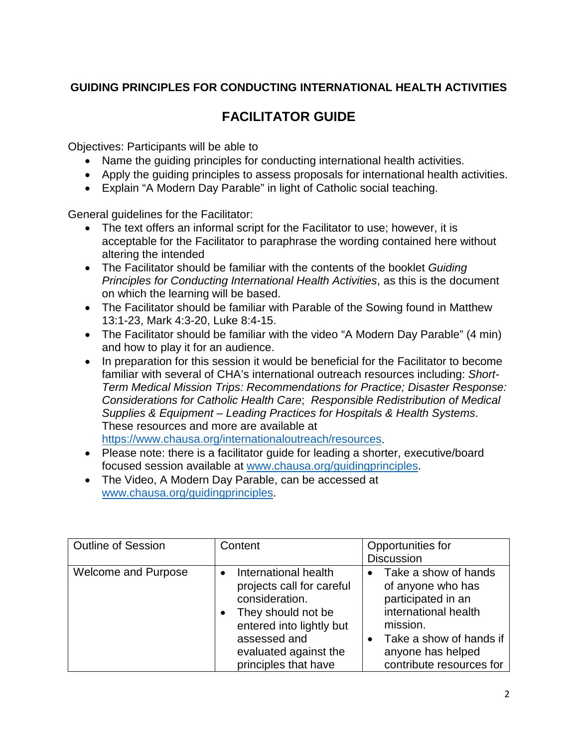## **GUIDING PRINCIPLES FOR CONDUCTING INTERNATIONAL HEALTH ACTIVITIES**

## **FACILITATOR GUIDE**

Objectives: Participants will be able to

- Name the guiding principles for conducting international health activities.
- Apply the guiding principles to assess proposals for international health activities.
- Explain "A Modern Day Parable" in light of Catholic social teaching.

General guidelines for the Facilitator:

- The text offers an informal script for the Facilitator to use; however, it is acceptable for the Facilitator to paraphrase the wording contained here without altering the intended
- The Facilitator should be familiar with the contents of the booklet *Guiding Principles for Conducting International Health Activities*, as this is the document on which the learning will be based.
- The Facilitator should be familiar with Parable of the Sowing found in Matthew 13:1-23, Mark 4:3-20, Luke 8:4-15.
- The Facilitator should be familiar with the video "A Modern Day Parable" (4 min) and how to play it for an audience.
- In preparation for this session it would be beneficial for the Facilitator to become familiar with several of CHA's international outreach resources including: *Short-Term Medical Mission Trips: Recommendations for Practice; Disaster Response: Considerations for Catholic Health Care*; *Responsible Redistribution of Medical Supplies & Equipment – Leading Practices for Hospitals & Health Systems*. These resources and more are available at [https://www.chausa.org/internationaloutreach/resources.](https://www.chausa.org/internationaloutreach/resources)
- Please note: there is a facilitator guide for leading a shorter, executive/board focused session available at [www.chausa.org/guidingprinciples.](http://www.chausa.org/guidingprinciples)
- The Video, A Modern Day Parable, can be accessed at [www.chausa.org/guidingprinciples.](http://www.chausa.org/guidingprinciples)

| <b>Outline of Session</b>  | Content                                                                                                                                                                                | Opportunities for<br><b>Discussion</b>                                                                                                                                            |
|----------------------------|----------------------------------------------------------------------------------------------------------------------------------------------------------------------------------------|-----------------------------------------------------------------------------------------------------------------------------------------------------------------------------------|
| <b>Welcome and Purpose</b> | International health<br>projects call for careful<br>consideration.<br>They should not be<br>entered into lightly but<br>assessed and<br>evaluated against the<br>principles that have | • Take a show of hands<br>of anyone who has<br>participated in an<br>international health<br>mission.<br>Take a show of hands if<br>anyone has helped<br>contribute resources for |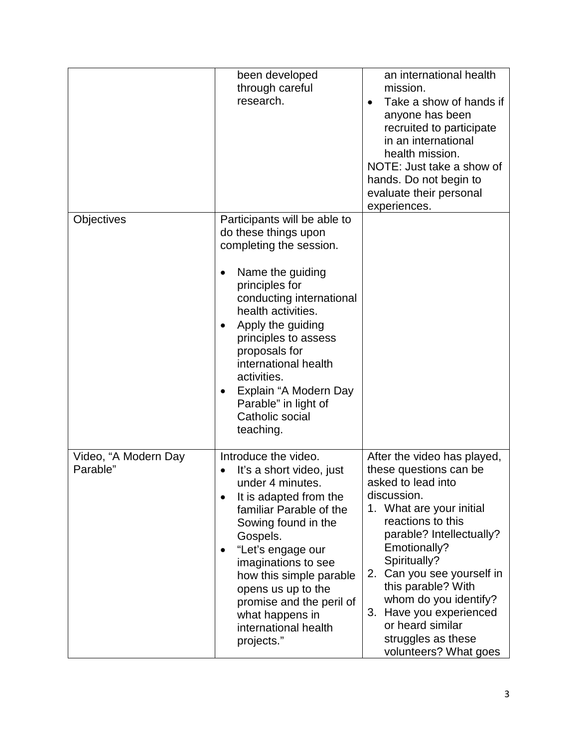|                                  | been developed<br>through careful<br>research.                                                                                                                                                                                                                                                                                                                                               | an international health<br>mission.<br>Take a show of hands if<br>$\bullet$<br>anyone has been<br>recruited to participate<br>in an international<br>health mission.<br>NOTE: Just take a show of<br>hands. Do not begin to<br>evaluate their personal<br>experiences.                                                                                                             |
|----------------------------------|----------------------------------------------------------------------------------------------------------------------------------------------------------------------------------------------------------------------------------------------------------------------------------------------------------------------------------------------------------------------------------------------|------------------------------------------------------------------------------------------------------------------------------------------------------------------------------------------------------------------------------------------------------------------------------------------------------------------------------------------------------------------------------------|
| Objectives                       | Participants will be able to<br>do these things upon<br>completing the session.<br>Name the guiding<br>$\bullet$<br>principles for<br>conducting international<br>health activities.<br>Apply the guiding<br>٠<br>principles to assess<br>proposals for<br>international health<br>activities.<br>Explain "A Modern Day<br>$\bullet$<br>Parable" in light of<br>Catholic social<br>teaching. |                                                                                                                                                                                                                                                                                                                                                                                    |
| Video, "A Modern Day<br>Parable" | Introduce the video.<br>It's a short video, just<br>under 4 minutes.<br>It is adapted from the<br>familiar Parable of the<br>Sowing found in the<br>Gospels.<br>"Let's engage our<br>٠<br>imaginations to see<br>how this simple parable<br>opens us up to the<br>promise and the peril of<br>what happens in<br>international health<br>projects."                                          | After the video has played,<br>these questions can be<br>asked to lead into<br>discussion.<br>1. What are your initial<br>reactions to this<br>parable? Intellectually?<br>Emotionally?<br>Spiritually?<br>2. Can you see yourself in<br>this parable? With<br>whom do you identify?<br>3. Have you experienced<br>or heard similar<br>struggles as these<br>volunteers? What goes |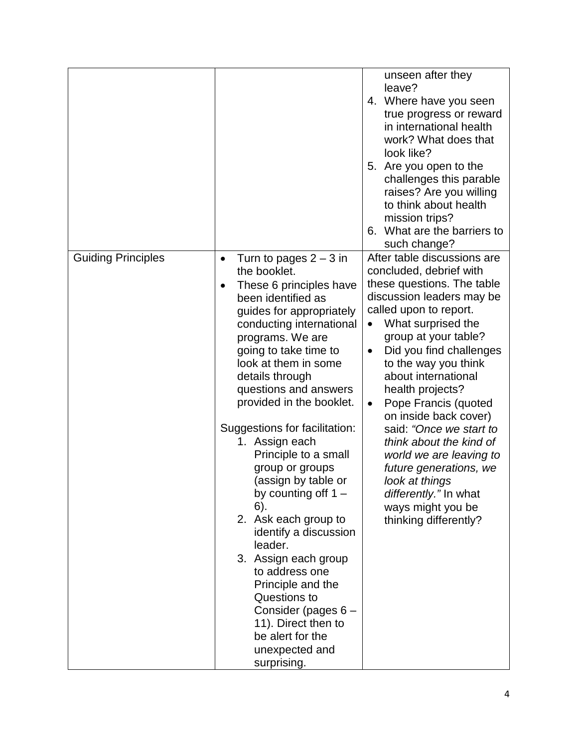|                           |                                                                                                                                                                                                                                                                                                                                                                                                                                                                                                                                                                                                                                                                                                                             | unseen after they<br>leave?<br>4. Where have you seen<br>true progress or reward<br>in international health<br>work? What does that<br>look like?<br>5. Are you open to the<br>challenges this parable<br>raises? Are you willing<br>to think about health<br>mission trips?<br>6. What are the barriers to<br>such change?                                                                                                                                                                                                                                                         |
|---------------------------|-----------------------------------------------------------------------------------------------------------------------------------------------------------------------------------------------------------------------------------------------------------------------------------------------------------------------------------------------------------------------------------------------------------------------------------------------------------------------------------------------------------------------------------------------------------------------------------------------------------------------------------------------------------------------------------------------------------------------------|-------------------------------------------------------------------------------------------------------------------------------------------------------------------------------------------------------------------------------------------------------------------------------------------------------------------------------------------------------------------------------------------------------------------------------------------------------------------------------------------------------------------------------------------------------------------------------------|
| <b>Guiding Principles</b> | Turn to pages $2 - 3$ in<br>$\bullet$<br>the booklet.<br>These 6 principles have<br>$\bullet$<br>been identified as<br>guides for appropriately<br>conducting international<br>programs. We are<br>going to take time to<br>look at them in some<br>details through<br>questions and answers<br>provided in the booklet.<br>Suggestions for facilitation:<br>1. Assign each<br>Principle to a small<br>group or groups<br>(assign by table or<br>by counting off $1 -$<br>6).<br>2. Ask each group to<br>identify a discussion<br>leader.<br>3. Assign each group<br>to address one<br>Principle and the<br>Questions to<br>Consider (pages 6 -<br>11). Direct then to<br>be alert for the<br>unexpected and<br>surprising. | After table discussions are<br>concluded, debrief with<br>these questions. The table<br>discussion leaders may be<br>called upon to report.<br>What surprised the<br>$\bullet$<br>group at your table?<br>Did you find challenges<br>$\bullet$<br>to the way you think<br>about international<br>health projects?<br>Pope Francis (quoted<br>$\bullet$<br>on inside back cover)<br>said: "Once we start to<br>think about the kind of<br>world we are leaving to<br>future generations, we<br>look at things<br>differently." In what<br>ways might you be<br>thinking differently? |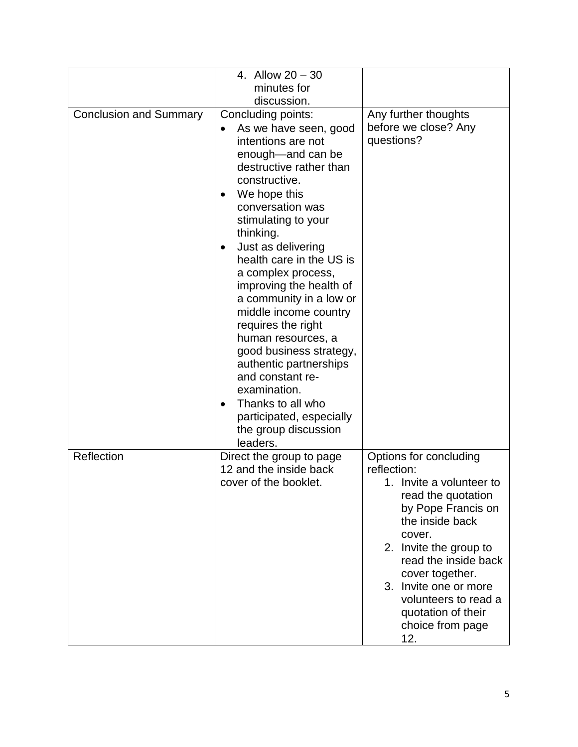|                               | 4. Allow $20 - 30$<br>minutes for                                                                                                                                                                                                                                                                                                                                                                                                                                                                                                                                               |                                                                                                                                                                                                                                                                                                                   |
|-------------------------------|---------------------------------------------------------------------------------------------------------------------------------------------------------------------------------------------------------------------------------------------------------------------------------------------------------------------------------------------------------------------------------------------------------------------------------------------------------------------------------------------------------------------------------------------------------------------------------|-------------------------------------------------------------------------------------------------------------------------------------------------------------------------------------------------------------------------------------------------------------------------------------------------------------------|
|                               | discussion.                                                                                                                                                                                                                                                                                                                                                                                                                                                                                                                                                                     |                                                                                                                                                                                                                                                                                                                   |
| <b>Conclusion and Summary</b> | Concluding points:<br>As we have seen, good<br>intentions are not<br>enough-and can be<br>destructive rather than<br>constructive.<br>We hope this<br>conversation was<br>stimulating to your<br>thinking.<br>Just as delivering<br>health care in the US is<br>a complex process,<br>improving the health of<br>a community in a low or<br>middle income country<br>requires the right<br>human resources, a<br>good business strategy,<br>authentic partnerships<br>and constant re-<br>examination.<br>Thanks to all who<br>participated, especially<br>the group discussion | Any further thoughts<br>before we close? Any<br>questions?                                                                                                                                                                                                                                                        |
| Reflection                    | leaders.<br>Direct the group to page<br>12 and the inside back<br>cover of the booklet.                                                                                                                                                                                                                                                                                                                                                                                                                                                                                         | Options for concluding<br>reflection:<br>1. Invite a volunteer to<br>read the quotation<br>by Pope Francis on<br>the inside back<br>cover.<br>2. Invite the group to<br>read the inside back<br>cover together.<br>3. Invite one or more<br>volunteers to read a<br>quotation of their<br>choice from page<br>12. |